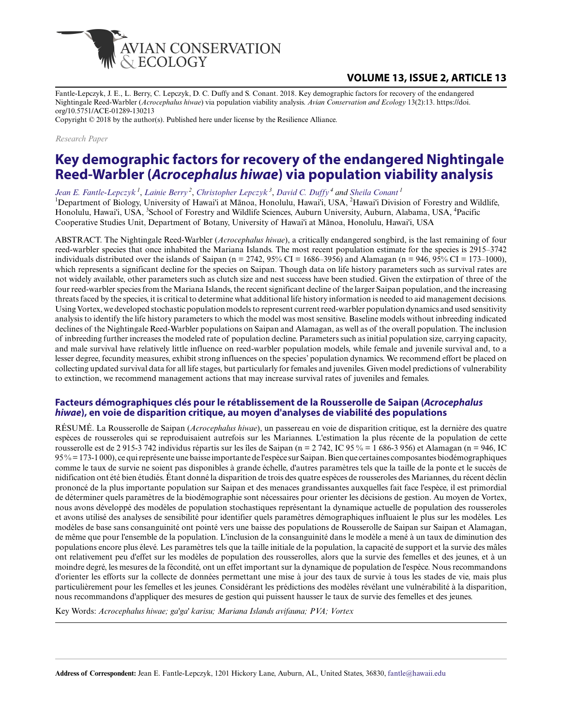

Fantle-Lepczyk, J. E., L. Berry, C. Lepczyk, D. C. Duffy and S. Conant. 2018. Key demographic factors for recovery of the endangered Nightingale Reed-Warbler (*Acrocephalus hiwae*) via population viability analysis. *Avian Conservation and Ecology* 13(2):13. https://doi. org/10.5751/ACE-01289-130213

Copyright © 2018 by the author(s). Published here under license by the Resilience Alliance.

*Research Paper*

# **Key demographic factors for recovery of the endangered Nightingale Reed-Warbler (***Acrocephalus hiwae***) via population viability analysis**

*[Jean E. Fantle-Lepczyk](mailto:fantle@hawaii.edu)<sup>1</sup>* , *[Lainie Berry](mailto:Lainie.berry@hawaii.gov)<sup>2</sup>* , *[Christopher Lepczyk](mailto:lepczyk@auburn.edu)<sup>3</sup>* , *[David C. Duffy](mailto:dduffy@hawaii.edu)<sup>4</sup> and [Sheila Conant](mailto:conant@hawaii.edu)<sup>1</sup>*

<sup>1</sup>Department of Biology, University of Hawai'i at Mānoa, Honolulu, Hawai'i, USA, <sup>2</sup>Hawai'i Division of Forestry and Wildlife, Honolulu, Hawai'i, USA, <sup>3</sup>School of Forestry and Wildlife Sciences, Auburn University, Auburn, Alabama, USA, <sup>4</sup>Pacific Cooperative Studies Unit, Department of Botany, University of Hawai'i at Mānoa, Honolulu, Hawai'i, USA

ABSTRACT. The Nightingale Reed-Warbler (*Acrocephalus hiwae*), a critically endangered songbird, is the last remaining of four reed-warbler species that once inhabited the Mariana Islands. The most recent population estimate for the species is 2915–3742 individuals distributed over the islands of Saipan (n = 2742, 95% CI = 1686–3956) and Alamagan (n = 946, 95% CI = 173–1000), which represents a significant decline for the species on Saipan. Though data on life history parameters such as survival rates are not widely available, other parameters such as clutch size and nest success have been studied. Given the extirpation of three of the four reed-warbler species from the Mariana Islands, the recent significant decline of the larger Saipan population, and the increasing threats faced by the species, it is critical to determine what additional life history information is needed to aid management decisions. Using Vortex, we developed stochastic population models to represent current reed-warbler population dynamics and used sensitivity analysis to identify the life history parameters to which the model was most sensitive. Baseline models without inbreeding indicated declines of the Nightingale Reed-Warbler populations on Saipan and Alamagan, as well as of the overall population. The inclusion of inbreeding further increases the modeled rate of population decline. Parameters such as initial population size, carrying capacity, and male survival have relatively little influence on reed-warbler population models, while female and juvenile survival and, to a lesser degree, fecundity measures, exhibit strong influences on the species' population dynamics. We recommend effort be placed on collecting updated survival data for all life stages, but particularly for females and juveniles. Given model predictions of vulnerability to extinction, we recommend management actions that may increase survival rates of juveniles and females.

#### **Facteurs démographiques clés pour le rétablissement de la Rousserolle de Saipan (***Acrocephalus hiwae***), en voie de disparition critique, au moyen d'analyses de viabilité des populations**

RÉSUMÉ. La Rousserolle de Saipan (*Acrocephalus hiwae*), un passereau en voie de disparition critique, est la dernière des quatre espèces de rousseroles qui se reproduisaient autrefois sur les Mariannes. L'estimation la plus récente de la population de cette rousserolle est de 2 915-3 742 individus répartis sur les îles de Saipan (n = 2 742, IC 95 % = 1 686-3 956) et Alamagan (n = 946, IC 95 % = 173-1 000), ce qui représente une baisse importante de l'espèce sur Saipan. Bien que certaines composantes biodémographiques comme le taux de survie ne soient pas disponibles à grande échelle, d'autres paramètres tels que la taille de la ponte et le succès de nidification ont été bien étudiés. Étant donné la disparition de trois des quatre espèces de rousseroles des Mariannes, du récent déclin prononcé de la plus importante population sur Saipan et des menaces grandissantes auxquelles fait face l'espèce, il est primordial de déterminer quels paramètres de la biodémographie sont nécessaires pour orienter les décisions de gestion. Au moyen de Vortex, nous avons développé des modèles de population stochastiques représentant la dynamique actuelle de population des rousseroles et avons utilisé des analyses de sensibilité pour identifier quels paramètres démographiques influaient le plus sur les modèles. Les modèles de base sans consanguinité ont pointé vers une baisse des populations de Rousserolle de Saipan sur Saipan et Alamagan, de même que pour l'ensemble de la population. L'inclusion de la consanguinité dans le modèle a mené à un taux de diminution des populations encore plus élevé. Les paramètres tels que la taille initiale de la population, la capacité de support et la survie des mâles ont relativement peu d'effet sur les modèles de population des rousserolles, alors que la survie des femelles et des jeunes, et à un moindre degré, les mesures de la fécondité, ont un effet important sur la dynamique de population de l'espèce. Nous recommandons d'orienter les efforts sur la collecte de données permettant une mise à jour des taux de survie à tous les stades de vie, mais plus particulièrement pour les femelles et les jeunes. Considérant les prédictions des modèles révélant une vulnérabilité à la disparition, nous recommandons d'appliquer des mesures de gestion qui puissent hausser le taux de survie des femelles et des jeunes.

Key Words: *Acrocephalus hiwae; ga'ga' karisu; Mariana Islands avifauna; PVA; Vortex*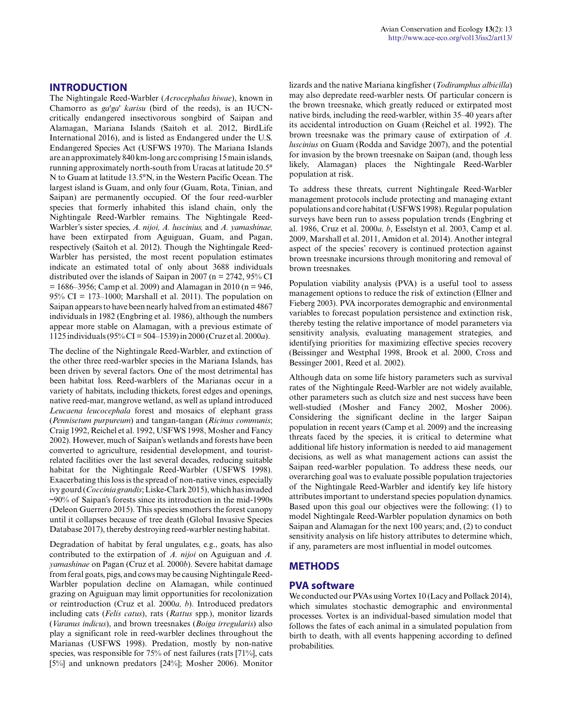#### **INTRODUCTION**

The Nightingale Reed-Warbler (*Acrocephalus hiwae*), known in Chamorro as *ga'ga' karisu* (bird of the reeds), is an IUCNcritically endangered insectivorous songbird of Saipan and Alamagan, Mariana Islands (Saitoh et al. 2012, BirdLife International 2016), and is listed as Endangered under the U.S. Endangered Species Act (USFWS 1970). The Mariana Islands are an approximately 840 km-long arc comprising 15 main islands, running approximately north-south from Uracas at latitude 20.5° N to Guam at latitude 13.5°N, in the Western Pacific Ocean. The largest island is Guam, and only four (Guam, Rota, Tinian, and Saipan) are permanently occupied. Of the four reed-warbler species that formerly inhabited this island chain, only the Nightingale Reed-Warbler remains. The Nightingale Reed-Warbler's sister species, *A. nijoi, A. luscinius,* and *A. yamashinae,* have been extirpated from Aguiguan, Guam, and Pagan, respectively (Saitoh et al. 2012). Though the Nightingale Reed-Warbler has persisted, the most recent population estimates indicate an estimated total of only about 3688 individuals distributed over the islands of Saipan in 2007 (n = 2742,  $95\%$  CI  $= 1686 - 3956$ ; Camp et al. 2009) and Alamagan in 2010 (n = 946, 95% CI = 173–1000; Marshall et al. 2011). The population on Saipan appears to have been nearly halved from an estimated 4867 individuals in 1982 (Engbring et al. 1986), although the numbers appear more stable on Alamagan, with a previous estimate of 1125 individuals (95% CI = 504–1539) in 2000 (Cruz et al. 2000*a*).

The decline of the Nightingale Reed-Warbler, and extinction of the other three reed-warbler species in the Mariana Islands, has been driven by several factors. One of the most detrimental has been habitat loss. Reed-warblers of the Marianas occur in a variety of habitats, including thickets, forest edges and openings, native reed-mar, mangrove wetland, as well as upland introduced *Leucaena leucocephala* forest and mosaics of elephant grass (*Pennisetum purpureum*) and tangan-tangan (*Ricinus communis*; Craig 1992, Reichel et al. 1992, USFWS 1998, Mosher and Fancy 2002). However, much of Saipan's wetlands and forests have been converted to agriculture, residential development, and touristrelated facilities over the last several decades, reducing suitable habitat for the Nightingale Reed-Warbler (USFWS 1998). Exacerbating this loss is the spread of non-native vines, especially ivy gourd (*Coccinia grandis*; Liske-Clark 2015), which has invaded ~90% of Saipan's forests since its introduction in the mid-1990s (Deleon Guerrero 2015). This species smothers the forest canopy until it collapses because of tree death (Global Invasive Species Database 2017), thereby destroying reed-warbler nesting habitat.

Degradation of habitat by feral ungulates, e.g., goats, has also contributed to the extirpation of *A. nijoi* on Aguiguan and *A. yamashinae* on Pagan (Cruz et al. 2000*b*). Severe habitat damage from feral goats, pigs, and cows may be causing Nightingale Reed-Warbler population decline on Alamagan, while continued grazing on Aguiguan may limit opportunities for recolonization or reintroduction (Cruz et al. 2000*a, b*). Introduced predators including cats (*Felis catus*), rats (*Rattus* spp.), monitor lizards (*Varanus indicus*), and brown treesnakes (*Boiga irregularis*) also play a significant role in reed-warbler declines throughout the Marianas (USFWS 1998). Predation, mostly by non-native species, was responsible for 75% of nest failures (rats [71%], cats [5%] and unknown predators [24%]; Mosher 2006). Monitor lizards and the native Mariana kingfisher (*Todiramphus albicilla*) may also depredate reed-warbler nests. Of particular concern is the brown treesnake, which greatly reduced or extirpated most native birds, including the reed-warbler, within 35–40 years after its accidental introduction on Guam (Reichel et al. 1992). The brown treesnake was the primary cause of extirpation of *A. luscinius* on Guam (Rodda and Savidge 2007), and the potential for invasion by the brown treesnake on Saipan (and, though less likely, Alamagan) places the Nightingale Reed-Warbler population at risk.

To address these threats, current Nightingale Reed-Warbler management protocols include protecting and managing extant populations and core habitat (USFWS 1998). Regular population surveys have been run to assess population trends (Engbring et al. 1986, Cruz et al. 2000*a, b*, Esselstyn et al. 2003, Camp et al. 2009, Marshall et al. 2011, Amidon et al. 2014). Another integral aspect of the species' recovery is continued protection against brown treesnake incursions through monitoring and removal of brown treesnakes.

Population viability analysis (PVA) is a useful tool to assess management options to reduce the risk of extinction (Ellner and Fieberg 2003). PVA incorporates demographic and environmental variables to forecast population persistence and extinction risk, thereby testing the relative importance of model parameters via sensitivity analysis, evaluating management strategies, and identifying priorities for maximizing effective species recovery (Beissinger and Westphal 1998, Brook et al. 2000, Cross and Bessinger 2001, Reed et al. 2002).

Although data on some life history parameters such as survival rates of the Nightingale Reed-Warbler are not widely available, other parameters such as clutch size and nest success have been well-studied (Mosher and Fancy 2002, Mosher 2006). Considering the significant decline in the larger Saipan population in recent years (Camp et al. 2009) and the increasing threats faced by the species, it is critical to determine what additional life history information is needed to aid management decisions, as well as what management actions can assist the Saipan reed-warbler population. To address these needs, our overarching goal was to evaluate possible population trajectories of the Nightingale Reed-Warbler and identify key life history attributes important to understand species population dynamics. Based upon this goal our objectives were the following: (1) to model Nightingale Reed-Warbler population dynamics on both Saipan and Alamagan for the next 100 years; and, (2) to conduct sensitivity analysis on life history attributes to determine which, if any, parameters are most influential in model outcomes.

#### **METHODS**

#### **PVA software**

We conducted our PVAs using Vortex 10 (Lacy and Pollack 2014), which simulates stochastic demographic and environmental processes. Vortex is an individual-based simulation model that follows the fates of each animal in a simulated population from birth to death, with all events happening according to defined probabilities.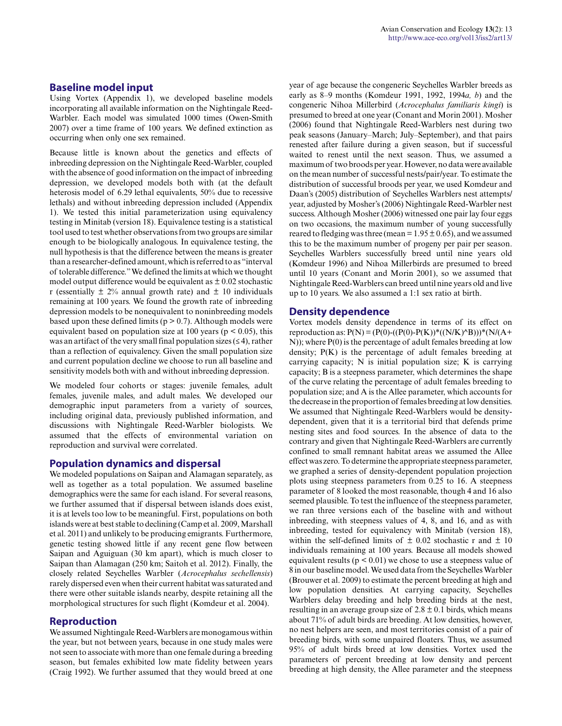# **Baseline model input**

Using Vortex (Appendix 1), we developed baseline models incorporating all available information on the Nightingale Reed-Warbler. Each model was simulated 1000 times (Owen-Smith 2007) over a time frame of 100 years. We defined extinction as occurring when only one sex remained.

Because little is known about the genetics and effects of inbreeding depression on the Nightingale Reed-Warbler, coupled with the absence of good information on the impact of inbreeding depression, we developed models both with (at the default heterosis model of 6.29 lethal equivalents, 50% due to recessive lethals) and without inbreeding depression included (Appendix 1). We tested this initial parameterization using equivalency testing in Minitab (version 18). Equivalence testing is a statistical tool used to test whether observations from two groups are similar enough to be biologically analogous. In equivalence testing, the null hypothesis is that the difference between the means is greater than a researcher-defined amount, which is referred to as "interval of tolerable difference." We defined the limits at which we thought model output difference would be equivalent as  $\pm$  0.02 stochastic r (essentially  $\pm$  2% annual growth rate) and  $\pm$  10 individuals remaining at 100 years. We found the growth rate of inbreeding depression models to be nonequivalent to noninbreeding models based upon these defined limits ( $p > 0.7$ ). Although models were equivalent based on population size at 100 years ( $p < 0.05$ ), this was an artifact of the very small final population sizes  $(\leq 4)$ , rather than a reflection of equivalency. Given the small population size and current population decline we choose to run all baseline and sensitivity models both with and without inbreeding depression.

We modeled four cohorts or stages: juvenile females, adult females, juvenile males, and adult males. We developed our demographic input parameters from a variety of sources, including original data, previously published information, and discussions with Nightingale Reed-Warbler biologists. We assumed that the effects of environmental variation on reproduction and survival were correlated.

#### **Population dynamics and dispersal**

We modeled populations on Saipan and Alamagan separately, as well as together as a total population. We assumed baseline demographics were the same for each island. For several reasons, we further assumed that if dispersal between islands does exist, it is at levels too low to be meaningful. First, populations on both islands were at best stable to declining (Camp et al. 2009, Marshall et al. 2011) and unlikely to be producing emigrants. Furthermore, genetic testing showed little if any recent gene flow between Saipan and Aguiguan (30 km apart), which is much closer to Saipan than Alamagan (250 km; Saitoh et al. 2012). Finally, the closely related Seychelles Warbler (*Acrocephalus sechellensis*) rarely dispersed even when their current habitat was saturated and there were other suitable islands nearby, despite retaining all the morphological structures for such flight (Komdeur et al. 2004).

#### **Reproduction**

We assumed Nightingale Reed-Warblers are monogamous within the year, but not between years, because in one study males were not seen to associate with more than one female during a breeding season, but females exhibited low mate fidelity between years (Craig 1992). We further assumed that they would breed at one year of age because the congeneric Seychelles Warbler breeds as early as 8–9 months (Komdeur 1991, 1992, 1994*a, b*) and the congeneric Nihoa Millerbird (*Acrocephalus familiaris kingi*) is presumed to breed at one year (Conant and Morin 2001). Mosher (2006) found that Nightingale Reed-Warblers nest during two peak seasons (January–March; July–September), and that pairs renested after failure during a given season, but if successful waited to renest until the next season. Thus, we assumed a maximum of two broods per year. However, no data were available on the mean number of successful nests/pair/year. To estimate the distribution of successful broods per year, we used Komdeur and Daan's (2005) distribution of Seychelles Warblers nest attempts/ year, adjusted by Mosher's (2006) Nightingale Reed-Warbler nest success. Although Mosher (2006) witnessed one pair lay four eggs on two occasions, the maximum number of young successfully reared to fledging was three (mean =  $1.95 \pm 0.65$ ), and we assumed this to be the maximum number of progeny per pair per season. Seychelles Warblers successfully breed until nine years old (Komdeur 1996) and Nihoa Millerbirds are presumed to breed until 10 years (Conant and Morin 2001), so we assumed that Nightingale Reed-Warblers can breed until nine years old and live up to 10 years. We also assumed a 1:1 sex ratio at birth.

### **Density dependence**

Vortex models density dependence in terms of its effect on reproduction as:  $P(N) = (P(0) \cdot ((P(0) \cdot P(K)) * ((N/K)^{A})) * (N/(A +$ N)); where P(0) is the percentage of adult females breeding at low density; P(K) is the percentage of adult females breeding at carrying capacity; N is initial population size; K is carrying capacity; B is a steepness parameter, which determines the shape of the curve relating the percentage of adult females breeding to population size; and A is the Allee parameter, which accounts for the decrease in the proportion of females breeding at low densities. We assumed that Nightingale Reed-Warblers would be densitydependent, given that it is a territorial bird that defends prime nesting sites and food sources. In the absence of data to the contrary and given that Nightingale Reed-Warblers are currently confined to small remnant habitat areas we assumed the Allee effect was zero. To determine the appropriate steepness parameter, we graphed a series of density-dependent population projection plots using steepness parameters from 0.25 to 16. A steepness parameter of 8 looked the most reasonable, though 4 and 16 also seemed plausible. To test the influence of the steepness parameter, we ran three versions each of the baseline with and without inbreeding, with steepness values of 4, 8, and 16, and as with inbreeding, tested for equivalency with Minitab (version 18), within the self-defined limits of  $\pm$  0.02 stochastic r and  $\pm$  10 individuals remaining at 100 years. Because all models showed equivalent results ( $p < 0.01$ ) we chose to use a steepness value of 8 in our baseline model. We used data from the Seychelles Warbler (Brouwer et al. 2009) to estimate the percent breeding at high and low population densities. At carrying capacity, Seychelles Warblers delay breeding and help breeding birds at the nest, resulting in an average group size of  $2.8 \pm 0.1$  birds, which means about 71% of adult birds are breeding. At low densities, however, no nest helpers are seen, and most territories consist of a pair of breeding birds, with some unpaired floaters. Thus, we assumed 95% of adult birds breed at low densities. Vortex used the parameters of percent breeding at low density and percent breeding at high density, the Allee parameter and the steepness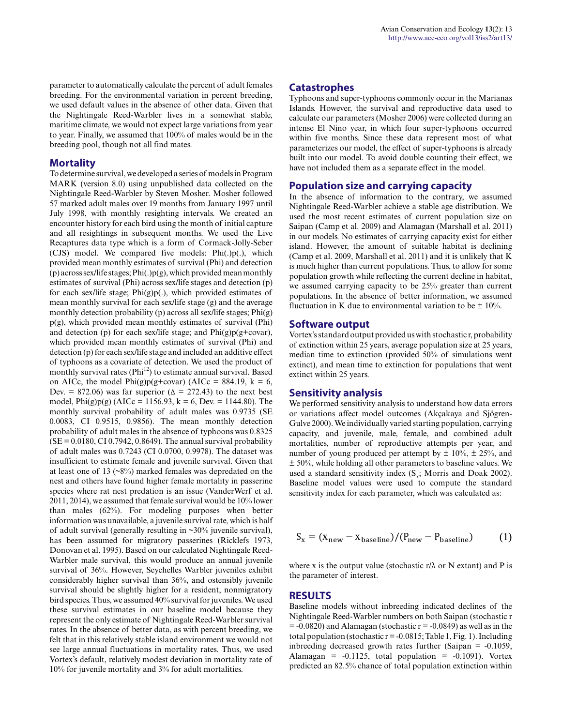parameter to automatically calculate the percent of adult females breeding. For the environmental variation in percent breeding, we used default values in the absence of other data. Given that the Nightingale Reed-Warbler lives in a somewhat stable, maritime climate, we would not expect large variations from year to year. Finally, we assumed that 100% of males would be in the breeding pool, though not all find mates.

#### **Mortality**

To determine survival, we developed a series of models in Program MARK (version 8.0) using unpublished data collected on the Nightingale Reed-Warbler by Steven Mosher. Mosher followed 57 marked adult males over 19 months from January 1997 until July 1998, with monthly resighting intervals. We created an encounter history for each bird using the month of initial capture and all resightings in subsequent months. We used the Live Recaptures data type which is a form of Cormack-Jolly-Seber (CJS) model. We compared five models: Phi(.)p(.), which provided mean monthly estimates of survival (Phi) and detection  $(p)$  across sex/life stages; Phi(.) $p(g)$ , which provided mean monthly estimates of survival (Phi) across sex/life stages and detection (p) for each sex/life stage; Phi(g)p(.), which provided estimates of mean monthly survival for each sex/life stage (g) and the average monthly detection probability (p) across all sex/life stages; Phi(g) p(g), which provided mean monthly estimates of survival (Phi) and detection (p) for each sex/life stage; and  $Phi(g)p(g+covar)$ , which provided mean monthly estimates of survival (Phi) and detection (p) for each sex/life stage and included an additive effect of typhoons as a covariate of detection. We used the product of monthly survival rates ( $Phi<sup>12</sup>$ ) to estimate annual survival. Based on AICc, the model Phi(g)p(g+covar) (AICc = 884.19,  $k = 6$ , Dev. = 872.06) was far superior ( $\Delta$  = 272.43) to the next best model,  $Phi(g)p(g)$  (AICc = 1156.93, k = 6, Dev. = 1144.80). The monthly survival probability of adult males was 0.9735 (SE 0.0083, CI 0.9515, 0.9856). The mean monthly detection probability of adult males in the absence of typhoons was 0.8325  $(SE = 0.0180, CI 0.7942, 0.8649)$ . The annual survival probability of adult males was 0.7243 (CI 0.0700, 0.9978). The dataset was insufficient to estimate female and juvenile survival. Given that at least one of 13 ( $\sim$ 8%) marked females was depredated on the nest and others have found higher female mortality in passerine species where rat nest predation is an issue (VanderWerf et al. 2011, 2014), we assumed that female survival would be 10% lower than males (62%). For modeling purposes when better information was unavailable, a juvenile survival rate, which is half of adult survival (generally resulting in  $\sim$ 30% juvenile survival), has been assumed for migratory passerines (Ricklefs 1973, Donovan et al. 1995). Based on our calculated Nightingale Reed-Warbler male survival, this would produce an annual juvenile survival of 36%. However, Seychelles Warbler juveniles exhibit considerably higher survival than 36%, and ostensibly juvenile survival should be slightly higher for a resident, nonmigratory bird species. Thus, we assumed 40% survival for juveniles. We used these survival estimates in our baseline model because they represent the only estimate of Nightingale Reed-Warbler survival rates. In the absence of better data, as with percent breeding, we felt that in this relatively stable island environment we would not see large annual fluctuations in mortality rates. Thus, we used Vortex's default, relatively modest deviation in mortality rate of 10% for juvenile mortality and 3% for adult mortalities.

## **Catastrophes**

Typhoons and super-typhoons commonly occur in the Marianas Islands. However, the survival and reproductive data used to calculate our parameters (Mosher 2006) were collected during an intense El Nino year, in which four super-typhoons occurred within five months. Since these data represent most of what parameterizes our model, the effect of super-typhoons is already built into our model. To avoid double counting their effect, we have not included them as a separate effect in the model.

# **Population size and carrying capacity**

In the absence of information to the contrary, we assumed Nightingale Reed-Warbler achieve a stable age distribution. We used the most recent estimates of current population size on Saipan (Camp et al. 2009) and Alamagan (Marshall et al. 2011) in our models. No estimates of carrying capacity exist for either island. However, the amount of suitable habitat is declining (Camp et al. 2009, Marshall et al. 2011) and it is unlikely that K is much higher than current populations. Thus, to allow for some population growth while reflecting the current decline in habitat, we assumed carrying capacity to be 25% greater than current populations. In the absence of better information, we assumed fluctuation in K due to environmental variation to be  $\pm$  10%.

#### **Software output**

Vortex's standard output provided us with stochastic r, probability of extinction within 25 years, average population size at 25 years, median time to extinction (provided 50% of simulations went extinct), and mean time to extinction for populations that went extinct within 25 years.

# **Sensitivity analysis**

We performed sensitivity analysis to understand how data errors or variations affect model outcomes (Akçakaya and Sjögren-Gulve 2000). We individually varied starting population, carrying capacity, and juvenile, male, female, and combined adult mortalities, number of reproductive attempts per year, and number of young produced per attempt by  $\pm$  10%,  $\pm$  25%, and ± 50%, while holding all other parameters to baseline values. We used a standard sensitivity index (S*<sup>x</sup>* ; Morris and Doak 2002). Baseline model values were used to compute the standard sensitivity index for each parameter, which was calculated as:

$$
S_x = (x_{new} - x_{baseline})/(P_{new} - P_{baseline})
$$
 (1)

where x is the output value (stochastic r/ $\lambda$  or N extant) and P is the parameter of interest.

#### **RESULTS**

Baseline models without inbreeding indicated declines of the Nightingale Reed-Warbler numbers on both Saipan (stochastic r  $= -0.0820$ ) and Alamagan (stochastic  $r = -0.0849$ ) as well as in the total population (stochastic  $r = -0.0815$ ; Table 1, Fig. 1). Including inbreeding decreased growth rates further (Saipan = -0.1059, Alamagan =  $-0.1125$ , total population =  $-0.1091$ ). Vortex predicted an 82.5% chance of total population extinction within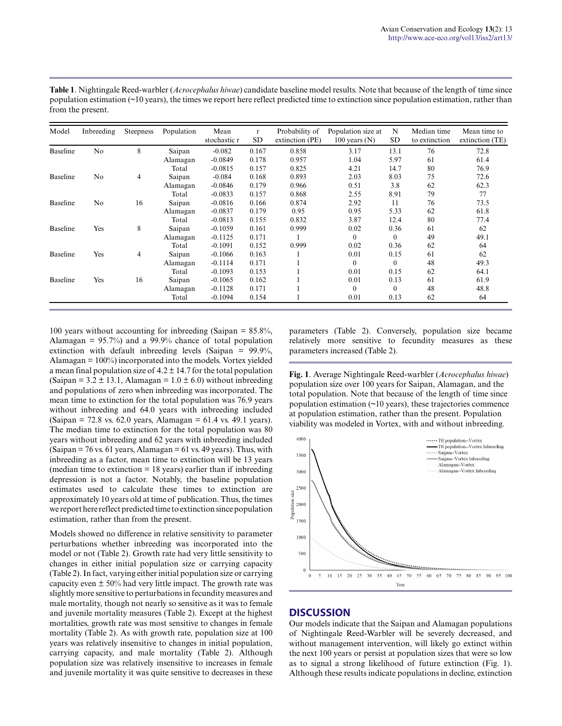| Model           | Inbreeding     | <b>Steepness</b> | Population | Mean<br>stochastic r | $\mathbf{r}$<br>SD | Probability of<br>extinction (PE) | Population size at<br>100 years $(N)$ | N<br>SD  | Median time<br>to extinction | Mean time to<br>extinction (TE) |
|-----------------|----------------|------------------|------------|----------------------|--------------------|-----------------------------------|---------------------------------------|----------|------------------------------|---------------------------------|
| <b>Baseline</b> | N <sub>o</sub> | 8                | Saipan     | $-0.082$             | 0.167              | 0.858                             | 3.17                                  | 13.1     | 76                           | 72.8                            |
|                 |                |                  | Alamagan   | $-0.0849$            | 0.178              | 0.957                             | 1.04                                  | 5.97     | 61                           | 61.4                            |
|                 |                |                  | Total      | $-0.0815$            | 0.157              | 0.825                             | 4.21                                  | 14.7     | 80                           | 76.9                            |
| Baseline        | N <sub>o</sub> | 4                | Saipan     | $-0.084$             | 0.168              | 0.893                             | 2.03                                  | 8.03     | 75                           | 72.6                            |
|                 |                |                  | Alamagan   | $-0.0846$            | 0.179              | 0.966                             | 0.51                                  | 3.8      | 62                           | 62.3                            |
|                 |                |                  | Total      | $-0.0833$            | 0.157              | 0.868                             | 2.55                                  | 8.91     | 79                           | 77                              |
| Baseline        | No             | 16               | Saipan     | $-0.0816$            | 0.166              | 0.874                             | 2.92                                  | 11       | 76                           | 73.5                            |
|                 |                |                  | Alamagan   | $-0.0837$            | 0.179              | 0.95                              | 0.95                                  | 5.33     | 62                           | 61.8                            |
|                 |                |                  | Total      | $-0.0813$            | 0.155              | 0.832                             | 3.87                                  | 12.4     | 80                           | 77.4                            |
| Baseline        | Yes            | 8                | Saipan     | $-0.1059$            | 0.161              | 0.999                             | 0.02                                  | 0.36     | 61                           | 62                              |
|                 |                |                  | Alamagan   | $-0.1125$            | 0.171              |                                   | $\Omega$                              | $\theta$ | 49                           | 49.1                            |
|                 |                |                  | Total      | $-0.1091$            | 0.152              | 0.999                             | 0.02                                  | 0.36     | 62                           | 64                              |
| Baseline        | Yes            | 4                | Saipan     | $-0.1066$            | 0.163              |                                   | 0.01                                  | 0.15     | 61                           | 62                              |
|                 |                |                  | Alamagan   | $-0.1114$            | 0.171              |                                   | $\Omega$                              | $\theta$ | 48                           | 49.3                            |
|                 |                |                  | Total      | $-0.1093$            | 0.153              |                                   | 0.01                                  | 0.15     | 62                           | 64.1                            |
| Baseline        | Yes            | 16               | Saipan     | $-0.1065$            | 0.162              |                                   | 0.01                                  | 0.13     | 61                           | 61.9                            |
|                 |                |                  | Alamagan   | $-0.1128$            | 0.171              |                                   | $\Omega$                              | $\theta$ | 48                           | 48.8                            |
|                 |                |                  | Total      | $-0.1094$            | 0.154              |                                   | 0.01                                  | 0.13     | 62                           | 64                              |

**Table 1**. Nightingale Reed-warbler (*Acrocephalus hiwae*) candidate baseline model results. Note that because of the length of time since population estimation  $(\sim 10 \text{ years})$ , the times we report here reflect predicted time to extinction since population estimation, rather than from the present.

100 years without accounting for inbreeding (Saipan  $= 85.8\%$ , Alamagan =  $95.7\%$ ) and a  $99.9\%$  chance of total population extinction with default inbreeding levels (Saipan = 99.9%, Alamagan = 100%) incorporated into the models. Vortex yielded a mean final population size of  $4.2 \pm 14.7$  for the total population (Saipan =  $3.2 \pm 13.1$ , Alamagan =  $1.0 \pm 6.0$ ) without inbreeding and populations of zero when inbreeding was incorporated. The mean time to extinction for the total population was 76.9 years without inbreeding and 64.0 years with inbreeding included  $(Saipan = 72.8 \text{ vs. } 62.0 \text{ years}, \text{Alamagan} = 61.4 \text{ vs. } 49.1 \text{ years}).$ The median time to extinction for the total population was 80 years without inbreeding and 62 years with inbreeding included  $(Saipan = 76$  vs. 61 years, Alamagan = 61 vs. 49 years). Thus, with inbreeding as a factor, mean time to extinction will be 13 years (median time to extinction  $= 18$  years) earlier than if inbreeding depression is not a factor. Notably, the baseline population estimates used to calculate these times to extinction are approximately 10 years old at time of publication. Thus, the times we report here reflect predicted time to extinction since population estimation, rather than from the present.

Models showed no difference in relative sensitivity to parameter perturbations whether inbreeding was incorporated into the model or not (Table 2). Growth rate had very little sensitivity to changes in either initial population size or carrying capacity (Table 2). In fact, varying either initial population size or carrying capacity even  $\pm$  50% had very little impact. The growth rate was slightly more sensitive to perturbations in fecundity measures and male mortality, though not nearly so sensitive as it was to female and juvenile mortality measures (Table 2). Except at the highest mortalities, growth rate was most sensitive to changes in female mortality (Table 2). As with growth rate, population size at 100 years was relatively insensitive to changes in initial population, carrying capacity, and male mortality (Table 2). Although population size was relatively insensitive to increases in female and juvenile mortality it was quite sensitive to decreases in these

parameters (Table 2). Conversely, population size became relatively more sensitive to fecundity measures as these parameters increased (Table 2).

**Fig. 1**. Average Nightingale Reed-warbler (*Acrocephalus hiwae*) population size over 100 years for Saipan, Alamagan, and the total population. Note that because of the length of time since population estimation  $(\sim 10 \text{ years})$ , these trajectories commence at population estimation, rather than the present. Population viability was modeled in Vortex, with and without inbreeding.



#### **DISCUSSION**

Our models indicate that the Saipan and Alamagan populations of Nightingale Reed-Warbler will be severely decreased, and without management intervention, will likely go extinct within the next 100 years or persist at population sizes that were so low as to signal a strong likelihood of future extinction (Fig. 1). Although these results indicate populations in decline, extinction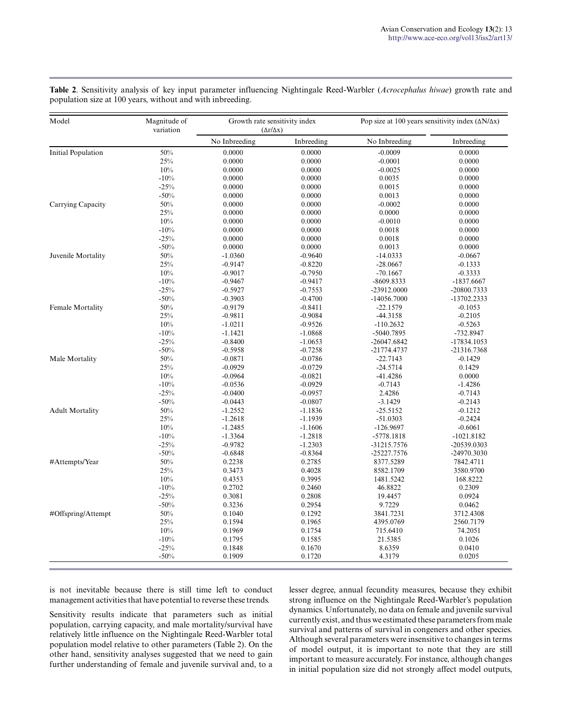| Model                     | Magnitude of<br>variation | Growth rate sensitivity index<br>$(\Delta r/\Delta x)$ |            | Pop size at 100 years sensitivity index $(\Delta N/\Delta x)$ |                                                                                                                                                                                                                                                                                                                                                                                                                                                                                                                                                                                   |  |
|---------------------------|---------------------------|--------------------------------------------------------|------------|---------------------------------------------------------------|-----------------------------------------------------------------------------------------------------------------------------------------------------------------------------------------------------------------------------------------------------------------------------------------------------------------------------------------------------------------------------------------------------------------------------------------------------------------------------------------------------------------------------------------------------------------------------------|--|
|                           |                           | No Inbreeding                                          | Inbreeding | No Inbreeding                                                 | Inbreeding                                                                                                                                                                                                                                                                                                                                                                                                                                                                                                                                                                        |  |
| <b>Initial Population</b> | $50\%$                    | 0.0000                                                 | 0.0000     | $-0.0009$                                                     |                                                                                                                                                                                                                                                                                                                                                                                                                                                                                                                                                                                   |  |
|                           | 25%                       | 0.0000                                                 | 0.0000     | $-0.0001$                                                     | 0.0000<br>0.0000<br>0.0000<br>0.0000<br>0.0000<br>0.0000<br>0.0000<br>0.0000<br>0.0000<br>0.0000<br>0.0000<br>0.0000<br>$-0.0667$<br>$-0.1333$<br>$-0.3333$<br>-1837.6667<br>-20800.7333<br>-13702.2333<br>$-0.1053$<br>$-0.2105$<br>$-0.5263$<br>-732.8947<br>-17834.1053<br>-21316.7368<br>-0.1429<br>0.1429<br>0.0000<br>$-1.4286$<br>$-0.7143$<br>$-0.2143$<br>$-0.1212$<br>$-0.2424$<br>$-0.6061$<br>$-1021.8182$<br>-20539.0303<br>-24970.3030<br>7842.4711<br>3580.9700<br>168.8222<br>0.2309<br>0.0924<br>0.0462<br>3712.4308<br>2560.7179<br>74.2051<br>0.1026<br>0.0410 |  |
|                           | 10%                       | 0.0000                                                 | 0.0000     | $-0.0025$                                                     |                                                                                                                                                                                                                                                                                                                                                                                                                                                                                                                                                                                   |  |
|                           | $-10%$                    | 0.0000                                                 | 0.0000     | 0.0035                                                        |                                                                                                                                                                                                                                                                                                                                                                                                                                                                                                                                                                                   |  |
|                           | $-25%$                    | 0.0000                                                 | 0.0000     | 0.0015                                                        |                                                                                                                                                                                                                                                                                                                                                                                                                                                                                                                                                                                   |  |
|                           | $-50%$                    | 0.0000                                                 | 0.0000     | 0.0013                                                        |                                                                                                                                                                                                                                                                                                                                                                                                                                                                                                                                                                                   |  |
| Carrying Capacity         | $50\%$                    | 0.0000                                                 | 0.0000     | $-0.0002$                                                     |                                                                                                                                                                                                                                                                                                                                                                                                                                                                                                                                                                                   |  |
|                           | 25%                       | 0.0000                                                 | 0.0000     | 0.0000                                                        |                                                                                                                                                                                                                                                                                                                                                                                                                                                                                                                                                                                   |  |
|                           | 10%                       | 0.0000                                                 | 0.0000     | $-0.0010$                                                     |                                                                                                                                                                                                                                                                                                                                                                                                                                                                                                                                                                                   |  |
|                           | $-10%$                    | 0.0000                                                 | 0.0000     | 0.0018                                                        |                                                                                                                                                                                                                                                                                                                                                                                                                                                                                                                                                                                   |  |
|                           | $-25%$                    | 0.0000                                                 | 0.0000     | 0.0018                                                        |                                                                                                                                                                                                                                                                                                                                                                                                                                                                                                                                                                                   |  |
|                           | $-50%$                    | 0.0000                                                 | 0.0000     | 0.0013                                                        |                                                                                                                                                                                                                                                                                                                                                                                                                                                                                                                                                                                   |  |
| Juvenile Mortality        | $50\%$                    | $-1.0360$                                              | $-0.9640$  | $-14.0333$                                                    |                                                                                                                                                                                                                                                                                                                                                                                                                                                                                                                                                                                   |  |
|                           | $25\%$                    | $-0.9147$                                              | $-0.8220$  | $-28.0667$                                                    |                                                                                                                                                                                                                                                                                                                                                                                                                                                                                                                                                                                   |  |
|                           | $10\%$                    | $-0.9017$                                              | $-0.7950$  | $-70.1667$                                                    |                                                                                                                                                                                                                                                                                                                                                                                                                                                                                                                                                                                   |  |
|                           | $-10%$                    | $-0.9467$                                              | $-0.9417$  | -8609.8333                                                    |                                                                                                                                                                                                                                                                                                                                                                                                                                                                                                                                                                                   |  |
|                           | $-25%$                    | $-0.5927$                                              | $-0.7553$  | -23912.0000                                                   |                                                                                                                                                                                                                                                                                                                                                                                                                                                                                                                                                                                   |  |
|                           | $-50%$                    | $-0.3903$                                              | $-0.4700$  | $-14056.7000$                                                 |                                                                                                                                                                                                                                                                                                                                                                                                                                                                                                                                                                                   |  |
| Female Mortality          | $50\%$                    | $-0.9179$                                              | $-0.8411$  | $-22.1579$                                                    |                                                                                                                                                                                                                                                                                                                                                                                                                                                                                                                                                                                   |  |
|                           |                           |                                                        | $-0.9084$  |                                                               |                                                                                                                                                                                                                                                                                                                                                                                                                                                                                                                                                                                   |  |
|                           | 25%<br>$10\%$             | $-0.9811$<br>$-1.0211$                                 |            | $-44.3158$                                                    |                                                                                                                                                                                                                                                                                                                                                                                                                                                                                                                                                                                   |  |
|                           |                           |                                                        | $-0.9526$  | $-110.2632$                                                   |                                                                                                                                                                                                                                                                                                                                                                                                                                                                                                                                                                                   |  |
|                           | $-10%$                    | $-1.1421$                                              | $-1.0868$  | -5040.7895                                                    |                                                                                                                                                                                                                                                                                                                                                                                                                                                                                                                                                                                   |  |
|                           | $-25%$                    | $-0.8400$                                              | $-1.0653$  | -26047.6842                                                   |                                                                                                                                                                                                                                                                                                                                                                                                                                                                                                                                                                                   |  |
|                           | $-50%$                    | $-0.5958$                                              | $-0.7258$  | -21774.4737                                                   |                                                                                                                                                                                                                                                                                                                                                                                                                                                                                                                                                                                   |  |
| Male Mortality            | 50%                       | $-0.0871$                                              | $-0.0786$  | $-22.7143$                                                    |                                                                                                                                                                                                                                                                                                                                                                                                                                                                                                                                                                                   |  |
|                           | 25%                       | $-0.0929$                                              | $-0.0729$  | $-24.5714$                                                    |                                                                                                                                                                                                                                                                                                                                                                                                                                                                                                                                                                                   |  |
|                           | 10%                       | $-0.0964$                                              | $-0.0821$  | $-41.4286$                                                    |                                                                                                                                                                                                                                                                                                                                                                                                                                                                                                                                                                                   |  |
|                           | $-10%$                    | $-0.0536$                                              | $-0.0929$  | $-0.7143$                                                     |                                                                                                                                                                                                                                                                                                                                                                                                                                                                                                                                                                                   |  |
|                           | $-25%$                    | $-0.0400$                                              | $-0.0957$  | 2.4286                                                        |                                                                                                                                                                                                                                                                                                                                                                                                                                                                                                                                                                                   |  |
|                           | $-50%$                    | $-0.0443$                                              | $-0.0807$  | $-3.1429$                                                     |                                                                                                                                                                                                                                                                                                                                                                                                                                                                                                                                                                                   |  |
| <b>Adult Mortality</b>    | $50\%$                    | $-1.2552$                                              | $-1.1836$  | $-25.5152$                                                    |                                                                                                                                                                                                                                                                                                                                                                                                                                                                                                                                                                                   |  |
|                           | 25%                       | $-1.2618$                                              | $-1.1939$  | $-51.0303$                                                    |                                                                                                                                                                                                                                                                                                                                                                                                                                                                                                                                                                                   |  |
|                           | $10\%$                    | $-1.2485$                                              | $-1.1606$  | $-126.9697$                                                   |                                                                                                                                                                                                                                                                                                                                                                                                                                                                                                                                                                                   |  |
|                           | $-10%$                    | $-1.3364$                                              | $-1.2818$  | -5778.1818                                                    |                                                                                                                                                                                                                                                                                                                                                                                                                                                                                                                                                                                   |  |
|                           | $-25%$                    | $-0.9782$                                              | $-1.2303$  | -31215.7576                                                   |                                                                                                                                                                                                                                                                                                                                                                                                                                                                                                                                                                                   |  |
|                           | $-50%$                    | $-0.6848$                                              | $-0.8364$  | -25227.7576                                                   |                                                                                                                                                                                                                                                                                                                                                                                                                                                                                                                                                                                   |  |
| #Attempts/Year            | $50\%$                    | 0.2238                                                 | 0.2785     | 8377.5289                                                     | 0.0205                                                                                                                                                                                                                                                                                                                                                                                                                                                                                                                                                                            |  |
|                           | 25%                       | 0.3473                                                 | 0.4028     | 8582.1709                                                     |                                                                                                                                                                                                                                                                                                                                                                                                                                                                                                                                                                                   |  |
|                           | 10%                       | 0.4353                                                 | 0.3995     | 1481.5242                                                     |                                                                                                                                                                                                                                                                                                                                                                                                                                                                                                                                                                                   |  |
|                           | $-10%$                    | 0.2702                                                 | 0.2460     | 46.8822                                                       |                                                                                                                                                                                                                                                                                                                                                                                                                                                                                                                                                                                   |  |
|                           | $-25%$                    | 0.3081                                                 | 0.2808     | 19.4457                                                       |                                                                                                                                                                                                                                                                                                                                                                                                                                                                                                                                                                                   |  |
|                           | $-50%$                    | 0.3236                                                 | 0.2954     | 9.7229                                                        |                                                                                                                                                                                                                                                                                                                                                                                                                                                                                                                                                                                   |  |
| #Offspring/Attempt        | $50\%$                    | 0.1040                                                 | 0.1292     | 3841.7231                                                     |                                                                                                                                                                                                                                                                                                                                                                                                                                                                                                                                                                                   |  |
|                           | $25\%$                    | 0.1594                                                 | 0.1965     | 4395.0769                                                     |                                                                                                                                                                                                                                                                                                                                                                                                                                                                                                                                                                                   |  |
|                           | 10%                       | 0.1969                                                 | 0.1754     | 715.6410                                                      |                                                                                                                                                                                                                                                                                                                                                                                                                                                                                                                                                                                   |  |
|                           | $-10%$                    | 0.1795                                                 | 0.1585     | 21.5385                                                       |                                                                                                                                                                                                                                                                                                                                                                                                                                                                                                                                                                                   |  |
|                           | $-25%$                    | 0.1848                                                 | 0.1670     | 8.6359                                                        |                                                                                                                                                                                                                                                                                                                                                                                                                                                                                                                                                                                   |  |
|                           | $-50%$                    | 0.1909                                                 | 0.1720     | 4.3179                                                        |                                                                                                                                                                                                                                                                                                                                                                                                                                                                                                                                                                                   |  |

**Table 2**. Sensitivity analysis of key input parameter influencing Nightingale Reed-Warbler (*Acrocephalus hiwae*) growth rate and population size at 100 years, without and with inbreeding.

is not inevitable because there is still time left to conduct management activities that have potential to reverse these trends.

Sensitivity results indicate that parameters such as initial population, carrying capacity, and male mortality/survival have relatively little influence on the Nightingale Reed-Warbler total population model relative to other parameters (Table 2). On the other hand, sensitivity analyses suggested that we need to gain further understanding of female and juvenile survival and, to a lesser degree, annual fecundity measures, because they exhibit strong influence on the Nightingale Reed-Warbler's population dynamics. Unfortunately, no data on female and juvenile survival currently exist, and thus we estimated these parameters from male survival and patterns of survival in congeners and other species. Although several parameters were insensitive to changes in terms of model output, it is important to note that they are still important to measure accurately. For instance, although changes in initial population size did not strongly affect model outputs,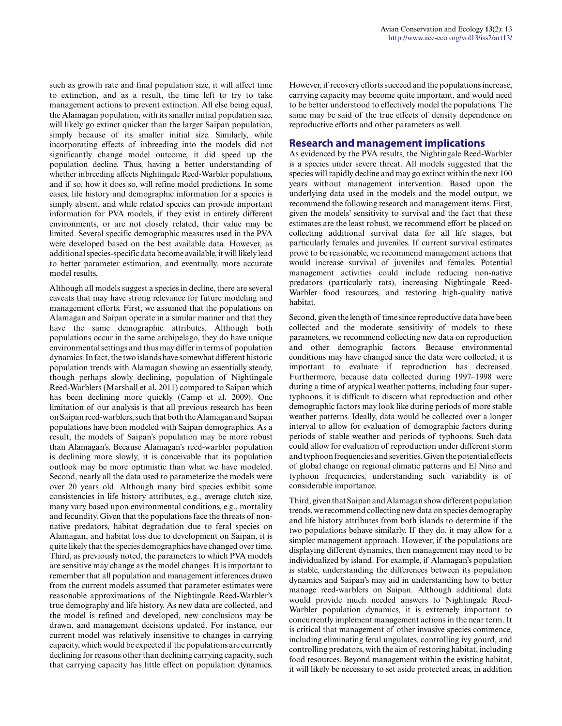such as growth rate and final population size, it will affect time to extinction, and as a result, the time left to try to take management actions to prevent extinction. All else being equal, the Alamagan population, with its smaller initial population size, will likely go extinct quicker than the larger Saipan population, simply because of its smaller initial size. Similarly, while incorporating effects of inbreeding into the models did not significantly change model outcome, it did speed up the population decline. Thus, having a better understanding of whether inbreeding affects Nightingale Reed-Warbler populations, and if so, how it does so, will refine model predictions. In some cases, life history and demographic information for a species is simply absent, and while related species can provide important information for PVA models, if they exist in entirely different environments, or are not closely related, their value may be limited. Several specific demographic measures used in the PVA were developed based on the best available data. However, as additional species-specific data become available, it will likely lead to better parameter estimation, and eventually, more accurate model results.

Although all models suggest a species in decline, there are several caveats that may have strong relevance for future modeling and management efforts. First, we assumed that the populations on Alamagan and Saipan operate in a similar manner and that they have the same demographic attributes. Although both populations occur in the same archipelago, they do have unique environmental settings and thus may differ in terms of population dynamics. In fact, the two islands have somewhat different historic population trends with Alamagan showing an essentially steady, though perhaps slowly declining, population of Nightingale Reed-Warblers (Marshall et al. 2011) compared to Saipan which has been declining more quickly (Camp et al. 2009). One limitation of our analysis is that all previous research has been on Saipan reed-warblers, such that both the Alamagan and Saipan populations have been modeled with Saipan demographics. As a result, the models of Saipan's population may be more robust than Alamagan's. Because Alamagan's reed-warbler population is declining more slowly, it is conceivable that its population outlook may be more optimistic than what we have modeled. Second, nearly all the data used to parameterize the models were over 20 years old. Although many bird species exhibit some consistencies in life history attributes, e.g., average clutch size, many vary based upon environmental conditions, e.g., mortality and fecundity. Given that the populations face the threats of nonnative predators, habitat degradation due to feral species on Alamagan, and habitat loss due to development on Saipan, it is quite likely that the species demographics have changed over time. Third, as previously noted, the parameters to which PVA models are sensitive may change as the model changes. It is important to remember that all population and management inferences drawn from the current models assumed that parameter estimates were reasonable approximations of the Nightingale Reed-Warbler's true demography and life history. As new data are collected, and the model is refined and developed, new conclusions may be drawn, and management decisions updated. For instance, our current model was relatively insensitive to changes in carrying capacity, which would be expected if the populations are currently declining for reasons other than declining carrying capacity, such that carrying capacity has little effect on population dynamics.

However, if recovery efforts succeed and the populations increase, carrying capacity may become quite important, and would need to be better understood to effectively model the populations. The same may be said of the true effects of density dependence on reproductive efforts and other parameters as well.

#### **Research and management implications**

As evidenced by the PVA results, the Nightingale Reed-Warbler is a species under severe threat. All models suggested that the species will rapidly decline and may go extinct within the next 100 years without management intervention. Based upon the underlying data used in the models and the model output, we recommend the following research and management items. First, given the models' sensitivity to survival and the fact that these estimates are the least robust, we recommend effort be placed on collecting additional survival data for all life stages, but particularly females and juveniles. If current survival estimates prove to be reasonable, we recommend management actions that would increase survival of juveniles and females. Potential management activities could include reducing non-native predators (particularly rats), increasing Nightingale Reed-Warbler food resources, and restoring high-quality native habitat.

Second, given the length of time since reproductive data have been collected and the moderate sensitivity of models to these parameters, we recommend collecting new data on reproduction and other demographic factors. Because environmental conditions may have changed since the data were collected, it is important to evaluate if reproduction has decreased. Furthermore, because data collected during 1997–1998 were during a time of atypical weather patterns, including four supertyphoons, it is difficult to discern what reproduction and other demographic factors may look like during periods of more stable weather patterns. Ideally, data would be collected over a longer interval to allow for evaluation of demographic factors during periods of stable weather and periods of typhoons. Such data could allow for evaluation of reproduction under different storm and typhoon frequencies and severities. Given the potential effects of global change on regional climatic patterns and El Nino and typhoon frequencies, understanding such variability is of considerable importance.

Third, given that Saipan and Alamagan show different population trends, we recommend collecting new data on species demography and life history attributes from both islands to determine if the two populations behave similarly. If they do, it may allow for a simpler management approach. However, if the populations are displaying different dynamics, then management may need to be individualized by island. For example, if Alamagan's population is stable, understanding the differences between its population dynamics and Saipan's may aid in understanding how to better manage reed-warblers on Saipan. Although additional data would provide much needed answers to Nightingale Reed-Warbler population dynamics, it is extremely important to concurrently implement management actions in the near term. It is critical that management of other invasive species commence, including eliminating feral ungulates, controlling ivy gourd, and controlling predators, with the aim of restoring habitat, including food resources. Beyond management within the existing habitat, it will likely be necessary to set aside protected areas, in addition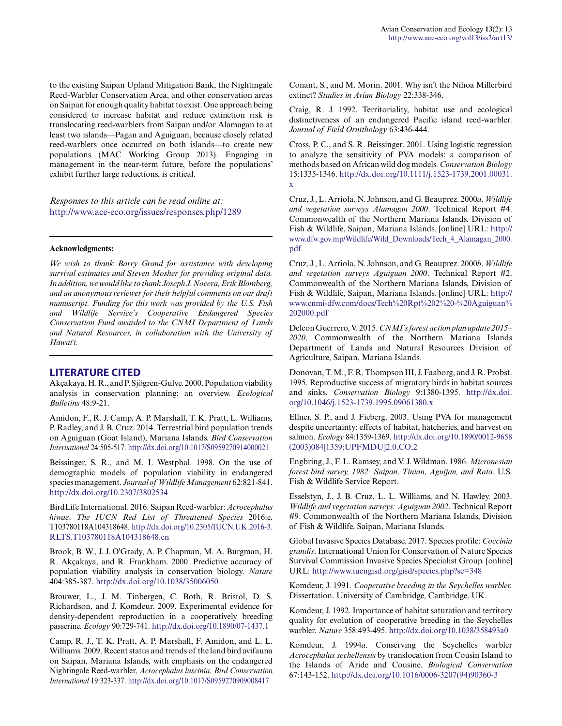to the existing Saipan Upland Mitigation Bank, the Nightingale Reed-Warbler Conservation Area, and other conservation areas on Saipan for enough quality habitat to exist. One approach being considered to increase habitat and reduce extinction risk is translocating reed-warblers from Saipan and/or Alamagan to at least two islands—Pagan and Aguiguan, because closely related reed-warblers once occurred on both islands—to create new populations (MAC Working Group 2013). Engaging in management in the near-term future, before the populations' exhibit further large reductions, is critical.

*Responses to this article can be read online at:* <http://www.ace-eco.org/issues/responses.php/1289>

#### **Acknowledgments:**

*We wish to thank Barry Grand for assistance with developing survival estimates and Steven Mosher for providing original data. In addition, we would like to thank Joseph J. Nocera, Erik Blomberg, and an anonymous reviewer for their helpful comments on our draft manuscript. Funding for this work was provided by the U.S. Fish and Wildlife Service's Cooperative Endangered Species Conservation Fund awarded to the CNMI Department of Lands and Natural Resources, in collaboration with the University of Hawai'i.*

#### **LITERATURE CITED**

Akçakaya, H. R., and P. Sjögren-Gulve. 2000. Population viability analysis in conservation planning: an overview. *Ecological Bulletins* 48:9-21.

Amidon, F., R. J. Camp, A. P. Marshall, T. K. Pratt, L. Williams, P. Radley, and J. B. Cruz. 2014. Terrestrial bird population trends on Aguiguan (Goat Island), Mariana Islands. *Bird Conservation International* 24:505-517. [http://dx.doi.org/10.1017/S0959270914000021](http://dx.doi.org/10.1017%2FS0959270914000021)

Beissinger, S. R., and M. I. Westphal. 1998. On the use of demographic models of population viability in endangered species management. *Journal of Wildlife Management* 62:821-841. [http://dx.doi.org/10.2307/3802534](http://dx.doi.org/10.2307%2F3802534) 

BirdLife International. 2016. Saipan Reed-warbler: *Acrocephalus hiwae*. *The IUCN Red List of Threatened Species* 2016:e. T103780118A104318648. [http://dx.doi.org/10.2305/IUCN.UK.2016-3.](http://dx.doi.org/10.2305%2FIUCN.UK.2016-3.RLTS.T103780118A104318648.en) [RLTS.T103780118A104318648.en](http://dx.doi.org/10.2305%2FIUCN.UK.2016-3.RLTS.T103780118A104318648.en)

Brook, B. W., J. J. O'Grady, A. P. Chapman, M. A. Burgman, H. R. Akçakaya, and R. Frankham. 2000. Predictive accuracy of population viability analysis in conservation biology. *Nature* 404:385-387. [http://dx.doi.org/10.1038/35006050](http://dx.doi.org/10.1038%2F35006050) 

Brouwer, L., J. M. Tinbergen, C. Both, R. Bristol, D. S. Richardson, and J. Komdeur. 2009. Experimental evidence for density-dependent reproduction in a cooperatively breeding passerine. *Ecology* 90:729-741. [http://dx.doi.org/10.1890/07-1437.1](http://dx.doi.org/10.1890%2F07-1437.1) 

Camp, R. J., T. K. Pratt, A. P. Marshall, F. Amidon, and L. L. Williams. 2009. Recent status and trends of the land bird avifauna on Saipan, Mariana Islands, with emphasis on the endangered Nightingale Reed-warbler, *Acrocephalus luscinia*. *Bird Conservation International* 19:323-337. [http://dx.doi.org/10.1017/S0959270909008417](http://dx.doi.org/10.1017%2FS0959270909008417)

Conant, S., and M. Morin. 2001. Why isn't the Nihoa Millerbird extinct? *Studies in Avian Biology* 22:338-346.

Craig, R. J. 1992. Territoriality, habitat use and ecological distinctiveness of an endangered Pacific island reed-warbler. *Journal of Field Ornithology* 63:436-444.

Cross, P. C., and S. R. Beissinger. 2001. Using logistic regression to analyze the sensitivity of PVA models: a comparison of methods based on African wild dog models. *Conservation Biology* 15:1335-1346. [http://dx.doi.org/10.1111/j.1523-1739.2001.00031.](http://dx.doi.org/10.1111/j.1523-1739.2001.00031.x) [x](http://dx.doi.org/10.1111/j.1523-1739.2001.00031.x) 

Cruz, J., L. Arriola, N. Johnson, and G. Beauprez. 2000*a*. *Wildlife and vegetation surveys Alamagan 2000*. Technical Report #4. Commonwealth of the Northern Mariana Islands, Division of Fish & Wildlife, Saipan, Mariana Islands. [online] URL: [http://](http://www.dfw.gov.mp/Wildlife/Wild_Downloads/Tech_4_Alamagan_2000.pdf) [www.dfw.gov.mp/Wildlife/Wild\\_Downloads/Tech\\_4\\_Alamagan\\_2000.](http://www.dfw.gov.mp/Wildlife/Wild_Downloads/Tech_4_Alamagan_2000.pdf) [pdf](http://www.dfw.gov.mp/Wildlife/Wild_Downloads/Tech_4_Alamagan_2000.pdf)

Cruz, J., L. Arriola, N. Johnson, and G. Beauprez. 2000*b*. *Wildlife and vegetation surveys Aguiguan 2000*. Technical Report #2. Commonwealth of the Northern Mariana Islands, Division of Fish & Wildlife, Saipan, Mariana Islands. [online] URL: [http://](http://www.cnmi-dfw.com/docs/Tech%20Rpt%202%20-%20Aguiguan%202000.pdf) [www.cnmi-dfw.com/docs/Tech%20Rpt%202%20-%20Aguiguan%](http://www.cnmi-dfw.com/docs/Tech%20Rpt%202%20-%20Aguiguan%202000.pdf) [202000.pdf](http://www.cnmi-dfw.com/docs/Tech%20Rpt%202%20-%20Aguiguan%202000.pdf)

Deleon Guerrero, V. 2015. *CNMI's forest action plan update 2015– 2020*. Commonwealth of the Northern Mariana Islands Department of Lands and Natural Resources Division of Agriculture, Saipan, Mariana Islands.

Donovan, T. M., F. R. Thompson III, J. Faaborg, and J. R. Probst. 1995. Reproductive success of migratory birds in habitat sources and sinks. *Conservation Biology* 9:1380-1395. [http://dx.doi.](http://dx.doi.org/10.1046%2Fj.1523-1739.1995.09061380.x) [org/10.1046/j.1523-1739.1995.09061380.x](http://dx.doi.org/10.1046%2Fj.1523-1739.1995.09061380.x) 

Ellner, S. P., and J. Fieberg. 2003. Using PVA for management despite uncertainty: effects of habitat, hatcheries, and harvest on salmon. *Ecology* 84:1359-1369. [http://dx.doi.org/10.1890/0012-9658](http://dx.doi.org/10.1890%2F0012-9658%282003%29084%5B1359%3AUPFMDU%5D2.0.CO%3B2) [\(2003\)084\[1359:UPFMDU\]2.0.CO;2](http://dx.doi.org/10.1890%2F0012-9658%282003%29084%5B1359%3AUPFMDU%5D2.0.CO%3B2) 

Engbring, J., F. L. Ramsey, and V. J. Wildman. 1986. *Micronesian forest bird survey, 1982: Saipan, Tinian, Aguijan, and Rota*. U.S. Fish & Wildlife Service Report.

Esselstyn, J., J. B. Cruz, L. L. Williams, and N. Hawley. 2003. *Wildlife and vegetation surveys: Aguiguan 2002*. Technical Report #9. Commonwealth of the Northern Mariana Islands, Division of Fish & Wildlife, Saipan, Mariana Islands.

Global Invasive Species Database. 2017. Species profile: *Coccinia grandis*. International Union for Conservation of Nature Species Survival Commission Invasive Species Specialist Group. [online] URL:<http://www.iucngisd.org/gisd/species.php?sc=348>

Komdeur, J. 1991. *Cooperative breeding in the Seychelles warbler.* Dissertation. University of Cambridge, Cambridge, UK.

Komdeur, J. 1992. Importance of habitat saturation and territory quality for evolution of cooperative breeding in the Seychelles warbler. *Nature* 358:493-495. [http://dx.doi.org/10.1038/358493a0](http://dx.doi.org/10.1038%2F358493a0) 

Komdeur, J. 1994*a*. Conserving the Seychelles warbler *Acrocephalus sechellensis* by translocation from Cousin Island to the Islands of Aride and Cousine. *Biological Conservation* 67:143-152. [http://dx.doi.org/10.1016/0006-3207\(94\)90360-3](http://dx.doi.org/10.1016%2F0006-3207%2894%2990360-3)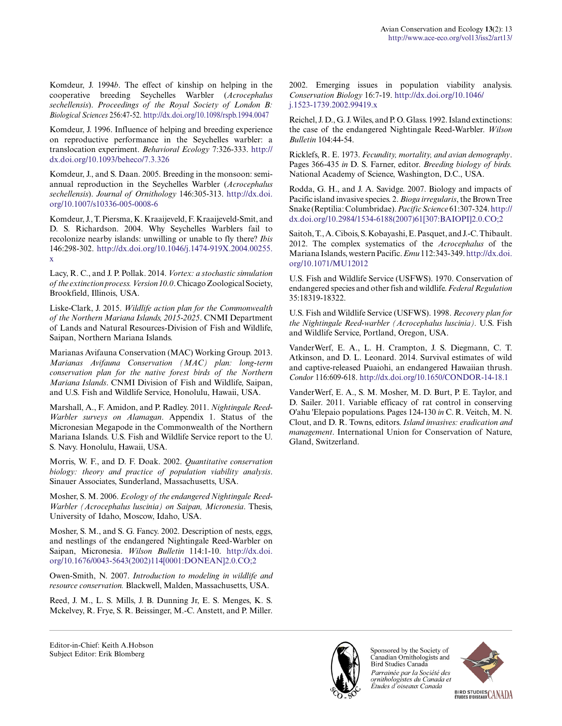Komdeur, J. 1994*b*. The effect of kinship on helping in the cooperative breeding Seychelles Warbler (*Acrocephalus sechellensis*). *Proceedings of the Royal Society of London B: Biological Sciences* 256:47-52. [http://dx.doi.org/10.1098/rspb.1994.0047](http://dx.doi.org/10.1098%2Frspb.1994.0047)

Komdeur, J. 1996. Influence of helping and breeding experience on reproductive performance in the Seychelles warbler: a translocation experiment. *Behavioral Ecology* 7:326-333. [http://](http://dx.doi.org/10.1093/beheco/7.3.326) [dx.doi.org/10.1093/beheco/7.3.326](http://dx.doi.org/10.1093/beheco/7.3.326) 

Komdeur, J., and S. Daan. 2005. Breeding in the monsoon: semiannual reproduction in the Seychelles Warbler (*Acrocephalus sechellensis*). *Journal of Ornithology* 146:305-313. [http://dx.doi.](http://dx.doi.org/10.1007%2Fs10336-005-0008-6) [org/10.1007/s10336-005-0008-6](http://dx.doi.org/10.1007%2Fs10336-005-0008-6)

Komdeur, J., T. Piersma, K. Kraaijeveld, F. Kraaijeveld-Smit, and D. S. Richardson. 2004. Why Seychelles Warblers fail to recolonize nearby islands: unwilling or unable to fly there? *Ibis* 146:298-302. [http://dx.doi.org/10.1046/j.1474-919X.2004.00255.](http://dx.doi.org/10.1046%2Fj.1474-919X.2004.00255.x) [x](http://dx.doi.org/10.1046%2Fj.1474-919X.2004.00255.x)

Lacy, R. C., and J. P. Pollak. 2014. *Vortex: a stochastic simulation of the extinction process. Version 10.0*. Chicago Zoological Society, Brookfield, Illinois, USA.

Liske-Clark, J. 2015. *Wildlife action plan for the Commonwealth of the Northern Mariana Islands, 2015-2025*. CNMI Department of Lands and Natural Resources-Division of Fish and Wildlife, Saipan, Northern Mariana Islands.

Marianas Avifauna Conservation (MAC) Working Group. 2013. *Marianas Avifauna Conservation (MAC) plan: long-term conservation plan for the native forest birds of the Northern Mariana Islands*. CNMI Division of Fish and Wildlife, Saipan, and U.S. Fish and Wildlife Service, Honolulu, Hawaii, USA.

Marshall, A., F. Amidon, and P. Radley. 2011. *Nightingale Reed-Warbler surveys on Alamagan*. Appendix 1. Status of the Micronesian Megapode in the Commonwealth of the Northern Mariana Islands. U.S. Fish and Wildlife Service report to the U. S. Navy. Honolulu, Hawaii, USA.

Morris, W. F., and D. F. Doak. 2002. *Quantitative conservation biology: theory and practice of population viability analysis*. Sinauer Associates, Sunderland, Massachusetts, USA.

Mosher, S. M. 2006. *Ecology of the endangered Nightingale Reed-Warbler (Acrocephalus luscinia) on Saipan, Micronesia*. Thesis, University of Idaho, Moscow, Idaho, USA.

Mosher, S. M., and S. G. Fancy. 2002. Description of nests, eggs, and nestlings of the endangered Nightingale Reed-Warbler on Saipan, Micronesia. *Wilson Bulletin* 114:1-10. [http://dx.doi.](http://dx.doi.org/10.1676%2F0043-5643%282002%29114%5B0001%3ADONEAN%5D2.0.CO%3B2) [org/10.1676/0043-5643\(2002\)114\[0001:DONEAN\]2.0.CO;2](http://dx.doi.org/10.1676%2F0043-5643%282002%29114%5B0001%3ADONEAN%5D2.0.CO%3B2)

Owen-Smith, N. 2007. *Introduction to modeling in wildlife and resource conservation.* Blackwell, Malden, Massachusetts, USA.

Reed, J. M., L. S. Mills, J. B. Dunning Jr, E. S. Menges, K. S. Mckelvey, R. Frye, S. R. Beissinger, M.-C. Anstett, and P. Miller. 2002. Emerging issues in population viability analysis. *Conservation Biology* 16:7-19. [http://dx.doi.org/10.1046/](http://dx.doi.org/10.1046%2Fj.1523-1739.2002.99419.x) [j.1523-1739.2002.99419.x](http://dx.doi.org/10.1046%2Fj.1523-1739.2002.99419.x)

Reichel, J. D., G. J. Wiles, and P. O. Glass. 1992. Island extinctions: the case of the endangered Nightingale Reed-Warbler. *Wilson Bulletin* 104:44-54.

Ricklefs, R. E. 1973. *Fecundity, mortality, and avian demography*. Pages 366-435 *in* D. S. Farner, editor. *Breeding biology of birds.* National Academy of Science, Washington, D.C., USA.

Rodda, G. H., and J. A. Savidge. 2007. Biology and impacts of Pacific island invasive species. 2. *Bioga irregularis*, the Brown Tree Snake (Reptilia: Columbridae). *Pacific Science* 61:307-324. [http://](http://dx.doi.org/10.2984%2F1534-6188%282007%2961%5B307%3ABAIOPI%5D2.0.CO%3B2) [dx.doi.org/10.2984/1534-6188\(2007\)61\[307:BAIOPI\]2.0.CO;2](http://dx.doi.org/10.2984%2F1534-6188%282007%2961%5B307%3ABAIOPI%5D2.0.CO%3B2)

Saitoh, T., A. Cibois, S. Kobayashi, E. Pasquet, and J.-C. Thibault. 2012. The complex systematics of the *Acrocephalus* of the Mariana Islands, western Pacific. *Emu* 112:343-349. [http://dx.doi.](http://dx.doi.org/10.1071%2FMU12012) [org/10.1071/MU12012](http://dx.doi.org/10.1071%2FMU12012)

U.S. Fish and Wildlife Service (USFWS). 1970. Conservation of endangered species and other fish and wildlife. *Federal Regulation* 35:18319-18322.

U.S. Fish and Wildlife Service (USFWS). 1998. *Recovery plan for the Nightingale Reed-warbler (Acrocephalus luscinia).* U.S. Fish and Wildlife Service, Portland, Oregon, USA.

VanderWerf, E. A., L. H. Crampton, J. S. Diegmann, C. T. Atkinson, and D. L. Leonard. 2014. Survival estimates of wild and captive-released Puaiohi, an endangered Hawaiian thrush. *Condor* 116:609-618. [http://dx.doi.org/10.1650/CONDOR-14-18.1](http://dx.doi.org/10.1650%2FCONDOR-14-18.1) 

VanderWerf, E. A., S. M. Mosher, M. D. Burt, P. E. Taylor, and D. Sailer. 2011. Variable efficacy of rat control in conserving O'ahu 'Elepaio populations. Pages 124-130 *in* C. R. Veitch, M. N. Clout, and D. R. Towns, editors. *Island invasives: eradication and management*. International Union for Conservation of Nature, Gland, Switzerland.



Sponsored by the Society of Canadian Ornithologists and Bird Studies Canada Parrainée par la Société des ornithologistes du Canada et Études d'oiseaux Canada



Editor-in-Chief: Keith A.Hobson Subject Editor: Erik Blomberg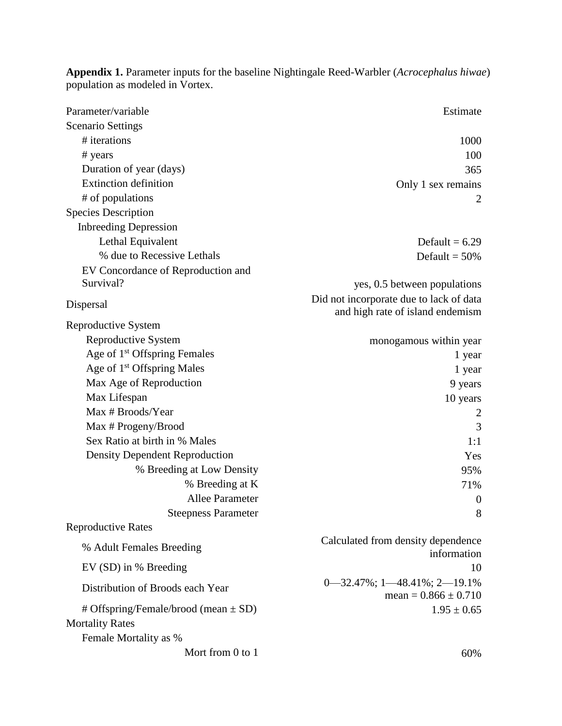**Appendix 1.** Parameter inputs for the baseline Nightingale Reed-Warbler (*Acrocephalus hiwae*) population as modeled in Vortex.

| Parameter/variable                       | Estimate                                                                    |
|------------------------------------------|-----------------------------------------------------------------------------|
| <b>Scenario Settings</b>                 |                                                                             |
| # iterations                             | 1000                                                                        |
| # years                                  | 100                                                                         |
| Duration of year (days)                  | 365                                                                         |
| <b>Extinction definition</b>             | Only 1 sex remains                                                          |
| # of populations                         | $\overline{2}$                                                              |
| <b>Species Description</b>               |                                                                             |
| <b>Inbreeding Depression</b>             |                                                                             |
| Lethal Equivalent                        | Default = $6.29$                                                            |
| % due to Recessive Lethals               | Default = $50\%$                                                            |
| EV Concordance of Reproduction and       |                                                                             |
| Survival?                                | yes, 0.5 between populations                                                |
| Dispersal                                | Did not incorporate due to lack of data<br>and high rate of island endemism |
| Reproductive System                      |                                                                             |
| Reproductive System                      | monogamous within year                                                      |
| Age of 1 <sup>st</sup> Offspring Females | 1 year                                                                      |
| Age of 1 <sup>st</sup> Offspring Males   | 1 year                                                                      |
| Max Age of Reproduction                  | 9 years                                                                     |
| Max Lifespan                             | 10 years                                                                    |
| Max # Broods/Year                        |                                                                             |
| Max # Progeny/Brood                      | 3                                                                           |
| Sex Ratio at birth in % Males            | 1:1                                                                         |
| <b>Density Dependent Reproduction</b>    | Yes                                                                         |
| % Breeding at Low Density                | 95%                                                                         |
| % Breeding at K                          | 71%                                                                         |
| Allee Parameter                          | $\boldsymbol{0}$                                                            |
| <b>Steepness Parameter</b>               | 8                                                                           |
| <b>Reproductive Rates</b>                |                                                                             |
| % Adult Females Breeding                 | Calculated from density dependence<br>information                           |
| EV (SD) in % Breeding                    | 10                                                                          |
| Distribution of Broods each Year         | $0 - 32.47\%$ ; $1 - 48.41\%$ ; $2 - 19.1\%$<br>mean = $0.866 \pm 0.710$    |
| # Offspring/Female/brood (mean $\pm$ SD) | $1.95 \pm 0.65$                                                             |
| <b>Mortality Rates</b>                   |                                                                             |
| Female Mortality as %                    |                                                                             |
| Mort from 0 to 1                         | 60%                                                                         |